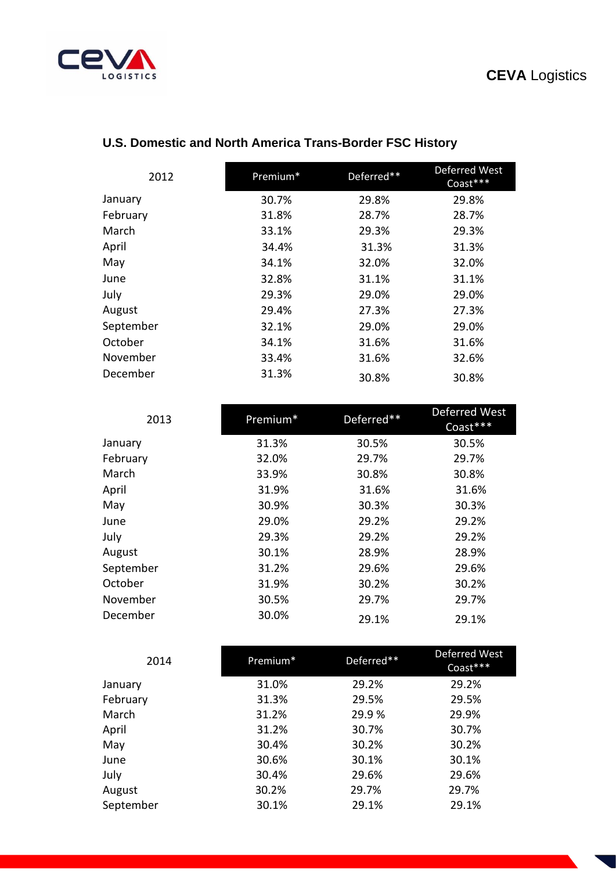## **CEVA** Logistics



| 2012      | Premium* | Deferred** | Deferred West<br>Coast*** |
|-----------|----------|------------|---------------------------|
| January   | 30.7%    | 29.8%      | 29.8%                     |
| February  | 31.8%    | 28.7%      | 28.7%                     |
| March     | 33.1%    | 29.3%      | 29.3%                     |
| April     | 34.4%    | 31.3%      | 31.3%                     |
| May       | 34.1%    | 32.0%      | 32.0%                     |
| June      | 32.8%    | 31.1%      | 31.1%                     |
| July      | 29.3%    | 29.0%      | 29.0%                     |
| August    | 29.4%    | 27.3%      | 27.3%                     |
| September | 32.1%    | 29.0%      | 29.0%                     |
| October   | 34.1%    | 31.6%      | 31.6%                     |
| November  | 33.4%    | 31.6%      | 32.6%                     |
| December  | 31.3%    | 30.8%      | 30.8%                     |

## **U.S. Domestic and North America Trans-Border FSC History**

| 2013      | Premium* | Deferred** | Deferred West<br>Coast*** |
|-----------|----------|------------|---------------------------|
| January   | 31.3%    | 30.5%      | 30.5%                     |
| February  | 32.0%    | 29.7%      | 29.7%                     |
| March     | 33.9%    | 30.8%      | 30.8%                     |
| April     | 31.9%    | 31.6%      | 31.6%                     |
| May       | 30.9%    | 30.3%      | 30.3%                     |
| June      | 29.0%    | 29.2%      | 29.2%                     |
| July      | 29.3%    | 29.2%      | 29.2%                     |
| August    | 30.1%    | 28.9%      | 28.9%                     |
| September | 31.2%    | 29.6%      | 29.6%                     |
| October   | 31.9%    | 30.2%      | 30.2%                     |
| November  | 30.5%    | 29.7%      | 29.7%                     |
| December  | 30.0%    | 29.1%      | 29.1%                     |

| 2014      | Premium* | Deferred** | Deferred West<br>Coast*** |
|-----------|----------|------------|---------------------------|
| January   | 31.0%    | 29.2%      | 29.2%                     |
| February  | 31.3%    | 29.5%      | 29.5%                     |
| March     | 31.2%    | 29.9%      | 29.9%                     |
| April     | 31.2%    | 30.7%      | 30.7%                     |
| May       | 30.4%    | 30.2%      | 30.2%                     |
| June      | 30.6%    | 30.1%      | 30.1%                     |
| July      | 30.4%    | 29.6%      | 29.6%                     |
| August    | 30.2%    | 29.7%      | 29.7%                     |
| September | 30.1%    | 29.1%      | 29.1%                     |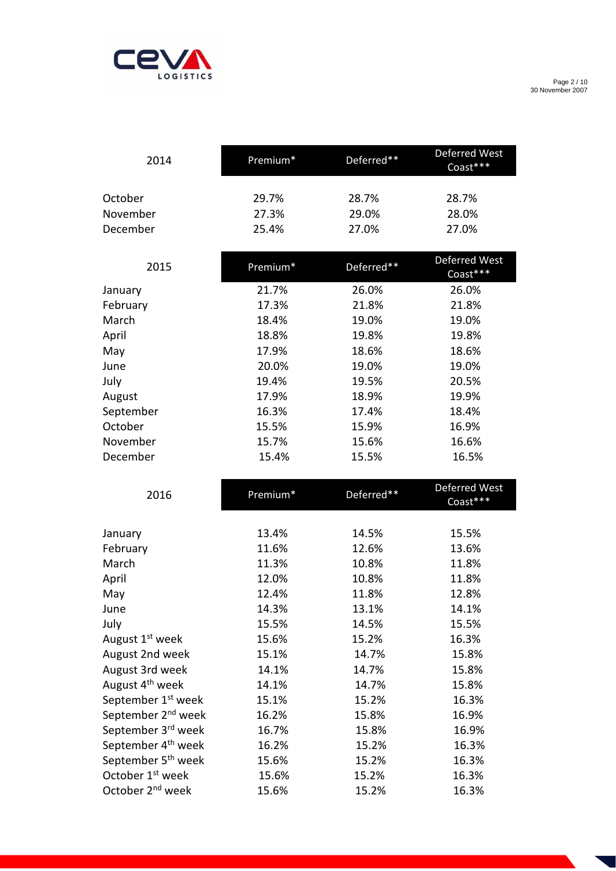

Page 2 / 10 30 November 2007

| 2014     | Premium* | Deferred** | Deferred West<br>$Coast***$ |
|----------|----------|------------|-----------------------------|
| October  | 29.7%    | 28.7%      | 28.7%                       |
| November | 27.3%    | 29.0%      | 28.0%                       |
| December | 25.4%    | 27.0%      | 27.0%                       |

| 2015      | Premium* | Deferred** | <b>Deferred West</b><br>Coast*** |
|-----------|----------|------------|----------------------------------|
| January   | 21.7%    | 26.0%      | 26.0%                            |
| February  | 17.3%    | 21.8%      | 21.8%                            |
| March     | 18.4%    | 19.0%      | 19.0%                            |
| April     | 18.8%    | 19.8%      | 19.8%                            |
| May       | 17.9%    | 18.6%      | 18.6%                            |
| June      | 20.0%    | 19.0%      | 19.0%                            |
| July      | 19.4%    | 19.5%      | 20.5%                            |
| August    | 17.9%    | 18.9%      | 19.9%                            |
| September | 16.3%    | 17.4%      | 18.4%                            |
| October   | 15.5%    | 15.9%      | 16.9%                            |
| November  | 15.7%    | 15.6%      | 16.6%                            |
| December  | 15.4%    | 15.5%      | 16.5%                            |

| 2016                           | Premium* | Deferred** | Deferred West<br>Coast*** |
|--------------------------------|----------|------------|---------------------------|
|                                |          |            |                           |
| January                        | 13.4%    | 14.5%      | 15.5%                     |
| February                       | 11.6%    | 12.6%      | 13.6%                     |
| March                          | 11.3%    | 10.8%      | 11.8%                     |
| April                          | 12.0%    | 10.8%      | 11.8%                     |
| May                            | 12.4%    | 11.8%      | 12.8%                     |
| June                           | 14.3%    | 13.1%      | 14.1%                     |
| July                           | 15.5%    | 14.5%      | 15.5%                     |
| August 1 <sup>st</sup> week    | 15.6%    | 15.2%      | 16.3%                     |
| August 2nd week                | 15.1%    | 14.7%      | 15.8%                     |
| August 3rd week                | 14.1%    | 14.7%      | 15.8%                     |
| August 4 <sup>th</sup> week    | 14.1%    | 14.7%      | 15.8%                     |
| September 1 <sup>st</sup> week | 15.1%    | 15.2%      | 16.3%                     |
| September 2 <sup>nd</sup> week | 16.2%    | 15.8%      | 16.9%                     |
| September 3 <sup>rd</sup> week | 16.7%    | 15.8%      | 16.9%                     |
| September 4 <sup>th</sup> week | 16.2%    | 15.2%      | 16.3%                     |
| September 5 <sup>th</sup> week | 15.6%    | 15.2%      | 16.3%                     |
| October 1 <sup>st</sup> week   | 15.6%    | 15.2%      | 16.3%                     |
| October 2 <sup>nd</sup> week   | 15.6%    | 15.2%      | 16.3%                     |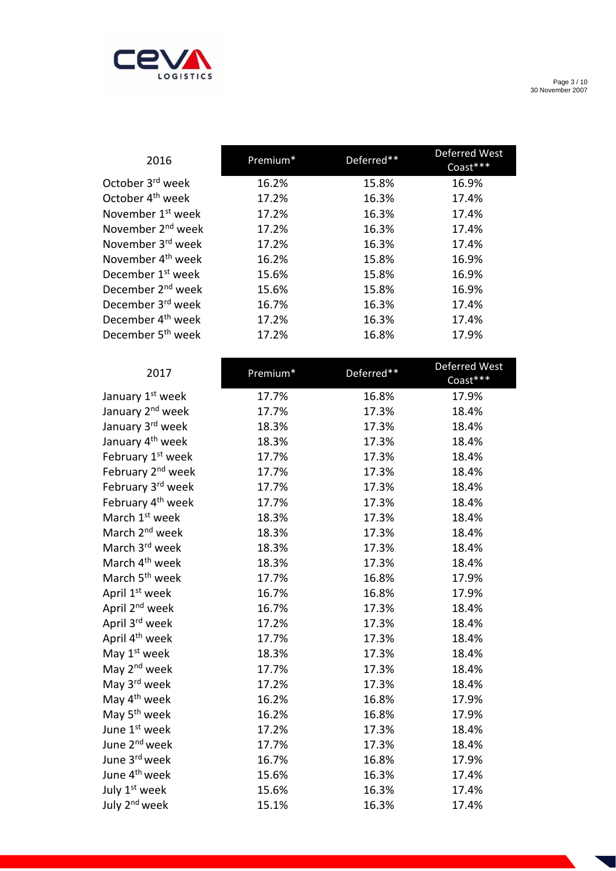

Page 3 / 10 30 November 2007

| 2016                          | Premium* | Deferred** | <b>Deferred West</b><br>Coast*** |
|-------------------------------|----------|------------|----------------------------------|
| October 3 <sup>rd</sup> week  | 16.2%    | 15.8%      | 16.9%                            |
| October 4 <sup>th</sup> week  | 17.2%    | 16.3%      | 17.4%                            |
| November 1 <sup>st</sup> week | 17.2%    | 16.3%      | 17.4%                            |
| November 2 <sup>nd</sup> week | 17.2%    | 16.3%      | 17.4%                            |
| November 3 <sup>rd</sup> week | 17.2%    | 16.3%      | 17.4%                            |
| November 4 <sup>th</sup> week | 16.2%    | 15.8%      | 16.9%                            |
| December 1 <sup>st</sup> week | 15.6%    | 15.8%      | 16.9%                            |
| December 2 <sup>nd</sup> week | 15.6%    | 15.8%      | 16.9%                            |
| December 3 <sup>rd</sup> week | 16.7%    | 16.3%      | 17.4%                            |
| December 4 <sup>th</sup> week | 17.2%    | 16.3%      | 17.4%                            |
| December 5 <sup>th</sup> week | 17.2%    | 16.8%      | 17.9%                            |
|                               |          |            |                                  |

| 2017                          | Premium* | Deferred** | Deferred West |
|-------------------------------|----------|------------|---------------|
|                               |          |            | Coast***      |
| January 1st week              | 17.7%    | 16.8%      | 17.9%         |
| January 2 <sup>nd</sup> week  | 17.7%    | 17.3%      | 18.4%         |
| January 3rd week              | 18.3%    | 17.3%      | 18.4%         |
| January 4 <sup>th</sup> week  | 18.3%    | 17.3%      | 18.4%         |
| February 1 <sup>st</sup> week | 17.7%    | 17.3%      | 18.4%         |
| February 2 <sup>nd</sup> week | 17.7%    | 17.3%      | 18.4%         |
| February 3rd week             | 17.7%    | 17.3%      | 18.4%         |
| February 4 <sup>th</sup> week | 17.7%    | 17.3%      | 18.4%         |
| March 1 <sup>st</sup> week    | 18.3%    | 17.3%      | 18.4%         |
| March 2 <sup>nd</sup> week    | 18.3%    | 17.3%      | 18.4%         |
| March 3rd week                | 18.3%    | 17.3%      | 18.4%         |
| March 4 <sup>th</sup> week    | 18.3%    | 17.3%      | 18.4%         |
| March 5 <sup>th</sup> week    | 17.7%    | 16.8%      | 17.9%         |
| April 1st week                | 16.7%    | 16.8%      | 17.9%         |
| April 2 <sup>nd</sup> week    | 16.7%    | 17.3%      | 18.4%         |
| April 3rd week                | 17.2%    | 17.3%      | 18.4%         |
| April 4 <sup>th</sup> week    | 17.7%    | 17.3%      | 18.4%         |
| May 1 <sup>st</sup> week      | 18.3%    | 17.3%      | 18.4%         |
| May 2 <sup>nd</sup> week      | 17.7%    | 17.3%      | 18.4%         |
| May 3 <sup>rd</sup> week      | 17.2%    | 17.3%      | 18.4%         |
| May 4 <sup>th</sup> week      | 16.2%    | 16.8%      | 17.9%         |
| May 5 <sup>th</sup> week      | 16.2%    | 16.8%      | 17.9%         |
| June 1st week                 | 17.2%    | 17.3%      | 18.4%         |
| June 2 <sup>nd</sup> week     | 17.7%    | 17.3%      | 18.4%         |
| June 3rd week                 | 16.7%    | 16.8%      | 17.9%         |
| June 4 <sup>th</sup> week     | 15.6%    | 16.3%      | 17.4%         |
| July 1st week                 | 15.6%    | 16.3%      | 17.4%         |
| July 2 <sup>nd</sup> week     | 15.1%    | 16.3%      | 17.4%         |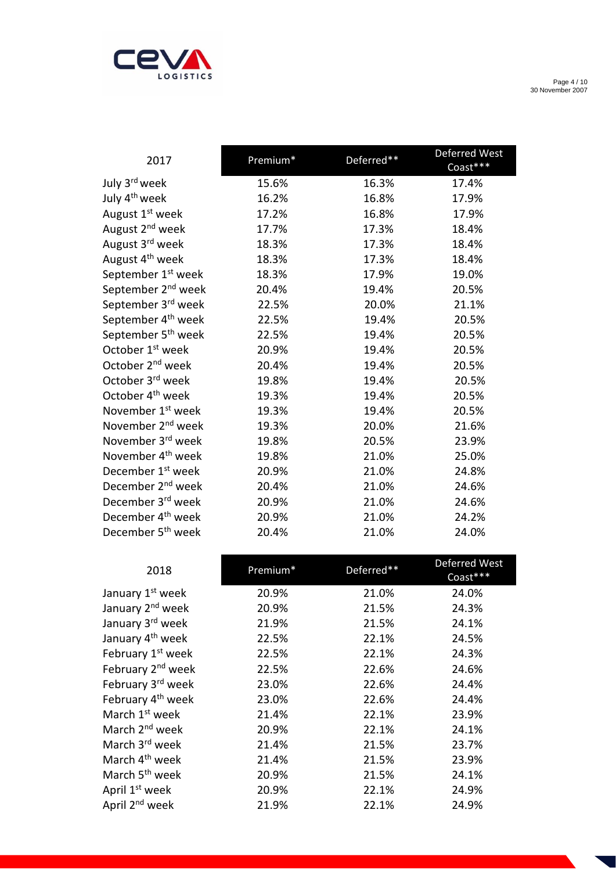

Page 4 / 10 30 November 2007

| 2017                           | Premium* | Deferred** | Deferred West<br>Coast*** |
|--------------------------------|----------|------------|---------------------------|
| July 3 <sup>rd</sup> week      | 15.6%    | 16.3%      | 17.4%                     |
| July 4 <sup>th</sup> week      | 16.2%    | 16.8%      | 17.9%                     |
| August 1 <sup>st</sup> week    | 17.2%    | 16.8%      | 17.9%                     |
| August 2 <sup>nd</sup> week    | 17.7%    | 17.3%      | 18.4%                     |
| August 3 <sup>rd</sup> week    | 18.3%    | 17.3%      | 18.4%                     |
| August 4 <sup>th</sup> week    | 18.3%    | 17.3%      | 18.4%                     |
| September 1 <sup>st</sup> week | 18.3%    | 17.9%      | 19.0%                     |
| September 2 <sup>nd</sup> week | 20.4%    | 19.4%      | 20.5%                     |
| September 3 <sup>rd</sup> week | 22.5%    | 20.0%      | 21.1%                     |
| September 4 <sup>th</sup> week | 22.5%    | 19.4%      | 20.5%                     |
| September 5 <sup>th</sup> week | 22.5%    | 19.4%      | 20.5%                     |
| October 1 <sup>st</sup> week   | 20.9%    | 19.4%      | 20.5%                     |
| October 2 <sup>nd</sup> week   | 20.4%    | 19.4%      | 20.5%                     |
| October 3 <sup>rd</sup> week   | 19.8%    | 19.4%      | 20.5%                     |
| October 4 <sup>th</sup> week   | 19.3%    | 19.4%      | 20.5%                     |
| November 1 <sup>st</sup> week  | 19.3%    | 19.4%      | 20.5%                     |
| November 2 <sup>nd</sup> week  | 19.3%    | 20.0%      | 21.6%                     |
| November 3 <sup>rd</sup> week  | 19.8%    | 20.5%      | 23.9%                     |
| November 4 <sup>th</sup> week  | 19.8%    | 21.0%      | 25.0%                     |
| December 1 <sup>st</sup> week  | 20.9%    | 21.0%      | 24.8%                     |
| December 2 <sup>nd</sup> week  | 20.4%    | 21.0%      | 24.6%                     |
| December 3 <sup>rd</sup> week  | 20.9%    | 21.0%      | 24.6%                     |
| December 4 <sup>th</sup> week  | 20.9%    | 21.0%      | 24.2%                     |
| December 5 <sup>th</sup> week  | 20.4%    | 21.0%      | 24.0%                     |

| 2018                          | Premium* | Deferred** | Deferred West<br>Coast*** |
|-------------------------------|----------|------------|---------------------------|
| January 1 <sup>st</sup> week  | 20.9%    | 21.0%      | 24.0%                     |
| January 2 <sup>nd</sup> week  | 20.9%    | 21.5%      | 24.3%                     |
| January 3rd week              | 21.9%    | 21.5%      | 24.1%                     |
| January 4 <sup>th</sup> week  | 22.5%    | 22.1%      | 24.5%                     |
| February 1 <sup>st</sup> week | 22.5%    | 22.1%      | 24.3%                     |
| February 2 <sup>nd</sup> week | 22.5%    | 22.6%      | 24.6%                     |
| February 3rd week             | 23.0%    | 22.6%      | 24.4%                     |
| February 4 <sup>th</sup> week | 23.0%    | 22.6%      | 24.4%                     |
| March 1 <sup>st</sup> week    | 21.4%    | 22.1%      | 23.9%                     |
| March 2 <sup>nd</sup> week    | 20.9%    | 22.1%      | 24.1%                     |
| March 3 <sup>rd</sup> week    | 21.4%    | 21.5%      | 23.7%                     |
| March 4 <sup>th</sup> week    | 21.4%    | 21.5%      | 23.9%                     |
| March 5 <sup>th</sup> week    | 20.9%    | 21.5%      | 24.1%                     |
| April 1 <sup>st</sup> week    | 20.9%    | 22.1%      | 24.9%                     |
| April 2 <sup>nd</sup> week    | 21.9%    | 22.1%      | 24.9%                     |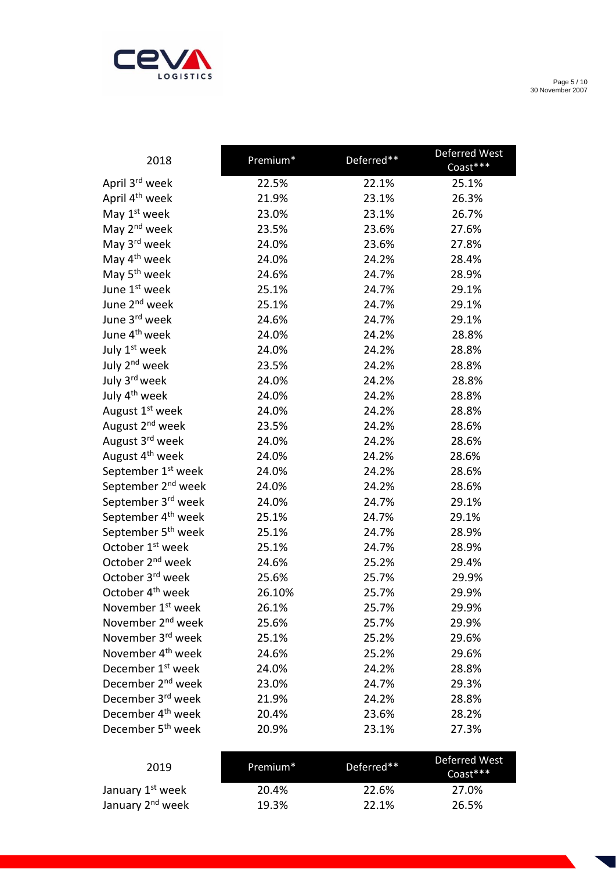

Page 5 / 10 30 November 2007

| 2018                           | Premium <sup>*</sup> | Deferred** | Deferred West<br>Coast*** |
|--------------------------------|----------------------|------------|---------------------------|
| April 3 <sup>rd</sup> week     | 22.5%                | 22.1%      | 25.1%                     |
| April 4 <sup>th</sup> week     | 21.9%                | 23.1%      | 26.3%                     |
| May 1 <sup>st</sup> week       | 23.0%                | 23.1%      | 26.7%                     |
| May 2 <sup>nd</sup> week       | 23.5%                | 23.6%      | 27.6%                     |
| May 3rd week                   | 24.0%                | 23.6%      | 27.8%                     |
| May 4 <sup>th</sup> week       | 24.0%                | 24.2%      | 28.4%                     |
| May 5 <sup>th</sup> week       | 24.6%                | 24.7%      | 28.9%                     |
| June 1st week                  | 25.1%                | 24.7%      | 29.1%                     |
| June 2 <sup>nd</sup> week      | 25.1%                | 24.7%      | 29.1%                     |
| June 3rd week                  | 24.6%                | 24.7%      | 29.1%                     |
| June 4 <sup>th</sup> week      | 24.0%                | 24.2%      | 28.8%                     |
| July 1st week                  | 24.0%                | 24.2%      | 28.8%                     |
| July 2 <sup>nd</sup> week      | 23.5%                | 24.2%      | 28.8%                     |
| July 3rd week                  | 24.0%                | 24.2%      | 28.8%                     |
| July 4 <sup>th</sup> week      | 24.0%                | 24.2%      | 28.8%                     |
| August 1 <sup>st</sup> week    | 24.0%                | 24.2%      | 28.8%                     |
| August 2 <sup>nd</sup> week    | 23.5%                | 24.2%      | 28.6%                     |
| August 3 <sup>rd</sup> week    | 24.0%                | 24.2%      | 28.6%                     |
| August 4 <sup>th</sup> week    | 24.0%                | 24.2%      | 28.6%                     |
| September 1 <sup>st</sup> week | 24.0%                | 24.2%      | 28.6%                     |
| September 2 <sup>nd</sup> week | 24.0%                | 24.2%      | 28.6%                     |
| September 3rd week             | 24.0%                | 24.7%      | 29.1%                     |
| September 4 <sup>th</sup> week | 25.1%                | 24.7%      | 29.1%                     |
| September 5 <sup>th</sup> week | 25.1%                | 24.7%      | 28.9%                     |
| October 1 <sup>st</sup> week   | 25.1%                | 24.7%      | 28.9%                     |
| October 2 <sup>nd</sup> week   | 24.6%                | 25.2%      | 29.4%                     |
| October 3rd week               | 25.6%                | 25.7%      | 29.9%                     |
| October 4 <sup>th</sup> week   | 26.10%               | 25.7%      | 29.9%                     |
| November 1 <sup>st</sup> week  | 26.1%                | 25.7%      | 29.9%                     |
| November 2 <sup>nd</sup> week  | 25.6%                | 25.7%      | 29.9%                     |
| November 3 <sup>rd</sup> week  | 25.1%                | 25.2%      | 29.6%                     |
| November 4 <sup>th</sup> week  | 24.6%                | 25.2%      | 29.6%                     |
| December 1 <sup>st</sup> week  | 24.0%                | 24.2%      | 28.8%                     |
| December 2 <sup>nd</sup> week  | 23.0%                | 24.7%      | 29.3%                     |
| December 3rd week              | 21.9%                | 24.2%      | 28.8%                     |
| December 4 <sup>th</sup> week  | 20.4%                | 23.6%      | 28.2%                     |
| December 5 <sup>th</sup> week  | 20.9%                | 23.1%      | 27.3%                     |

| 2019                         | Premium* | Deferred** | Deferred West<br>$Const***$ |
|------------------------------|----------|------------|-----------------------------|
| January 1 <sup>st</sup> week | 20.4%    | 22.6%      | 27.0%                       |
| January 2 <sup>nd</sup> week | 19.3%    | 22.1%      | 26.5%                       |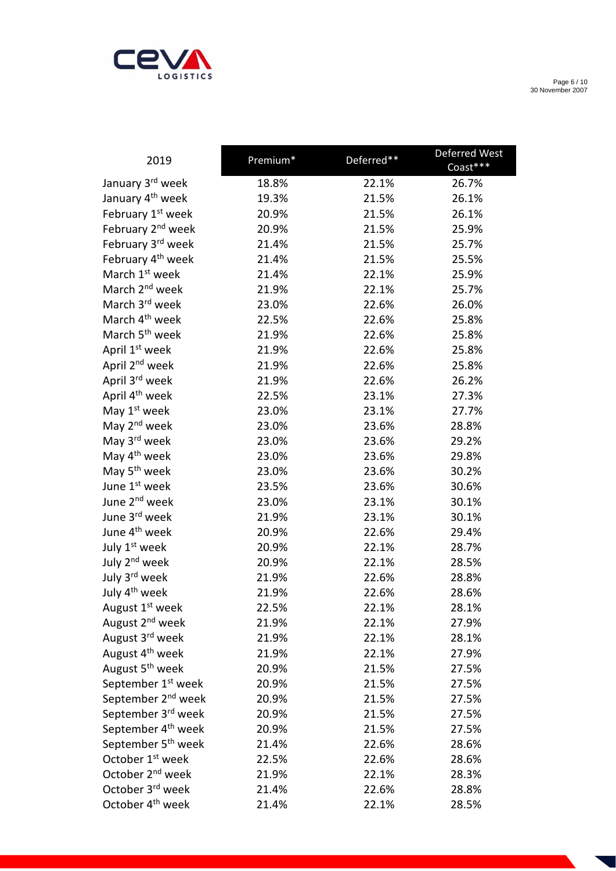

Page 6 / 10 30 November 2007

| 2019                           | Premium* | Deferred** | Deferred West<br>Coast*** |
|--------------------------------|----------|------------|---------------------------|
| January 3rd week               | 18.8%    | 22.1%      | 26.7%                     |
| January 4 <sup>th</sup> week   | 19.3%    | 21.5%      | 26.1%                     |
| February 1st week              | 20.9%    | 21.5%      | 26.1%                     |
| February 2 <sup>nd</sup> week  | 20.9%    | 21.5%      | 25.9%                     |
| February 3rd week              | 21.4%    | 21.5%      | 25.7%                     |
| February 4 <sup>th</sup> week  | 21.4%    | 21.5%      | 25.5%                     |
| March 1 <sup>st</sup> week     | 21.4%    | 22.1%      | 25.9%                     |
| March 2 <sup>nd</sup> week     | 21.9%    | 22.1%      | 25.7%                     |
| March 3rd week                 | 23.0%    | 22.6%      | 26.0%                     |
| March 4 <sup>th</sup> week     | 22.5%    | 22.6%      | 25.8%                     |
| March 5 <sup>th</sup> week     | 21.9%    | 22.6%      | 25.8%                     |
| April 1 <sup>st</sup> week     | 21.9%    | 22.6%      | 25.8%                     |
| April 2 <sup>nd</sup> week     | 21.9%    | 22.6%      | 25.8%                     |
| April 3rd week                 | 21.9%    | 22.6%      | 26.2%                     |
| April 4 <sup>th</sup> week     | 22.5%    | 23.1%      | 27.3%                     |
| May 1 <sup>st</sup> week       | 23.0%    | 23.1%      | 27.7%                     |
| May 2 <sup>nd</sup> week       | 23.0%    | 23.6%      | 28.8%                     |
| May 3 <sup>rd</sup> week       | 23.0%    | 23.6%      | 29.2%                     |
| May 4 <sup>th</sup> week       | 23.0%    | 23.6%      | 29.8%                     |
| May 5 <sup>th</sup> week       | 23.0%    | 23.6%      | 30.2%                     |
| June 1st week                  | 23.5%    | 23.6%      | 30.6%                     |
| June 2 <sup>nd</sup> week      | 23.0%    | 23.1%      | 30.1%                     |
| June 3rd week                  | 21.9%    | 23.1%      | 30.1%                     |
| June 4 <sup>th</sup> week      | 20.9%    | 22.6%      | 29.4%                     |
| July 1st week                  | 20.9%    | 22.1%      | 28.7%                     |
| July 2 <sup>nd</sup> week      | 20.9%    | 22.1%      | 28.5%                     |
| July 3rd week                  | 21.9%    | 22.6%      | 28.8%                     |
| July 4 <sup>th</sup> week      | 21.9%    | 22.6%      | 28.6%                     |
| August 1 <sup>st</sup> week    | 22.5%    | 22.1%      | 28.1%                     |
| August 2 <sup>nd</sup> week    | 21.9%    | 22.1%      | 27.9%                     |
| August 3 <sup>rd</sup> week    | 21.9%    | 22.1%      | 28.1%                     |
| August 4 <sup>th</sup> week    | 21.9%    | 22.1%      | 27.9%                     |
| August 5 <sup>th</sup> week    | 20.9%    | 21.5%      | 27.5%                     |
| September 1 <sup>st</sup> week | 20.9%    | 21.5%      | 27.5%                     |
| September 2 <sup>nd</sup> week | 20.9%    | 21.5%      | 27.5%                     |
| September 3rd week             | 20.9%    | 21.5%      | 27.5%                     |
| September 4 <sup>th</sup> week | 20.9%    | 21.5%      | 27.5%                     |
| September 5 <sup>th</sup> week | 21.4%    | 22.6%      | 28.6%                     |
| October 1 <sup>st</sup> week   | 22.5%    | 22.6%      | 28.6%                     |
| October 2 <sup>nd</sup> week   | 21.9%    | 22.1%      | 28.3%                     |
| October 3 <sup>rd</sup> week   | 21.4%    | 22.6%      | 28.8%                     |
| October 4 <sup>th</sup> week   | 21.4%    | 22.1%      | 28.5%                     |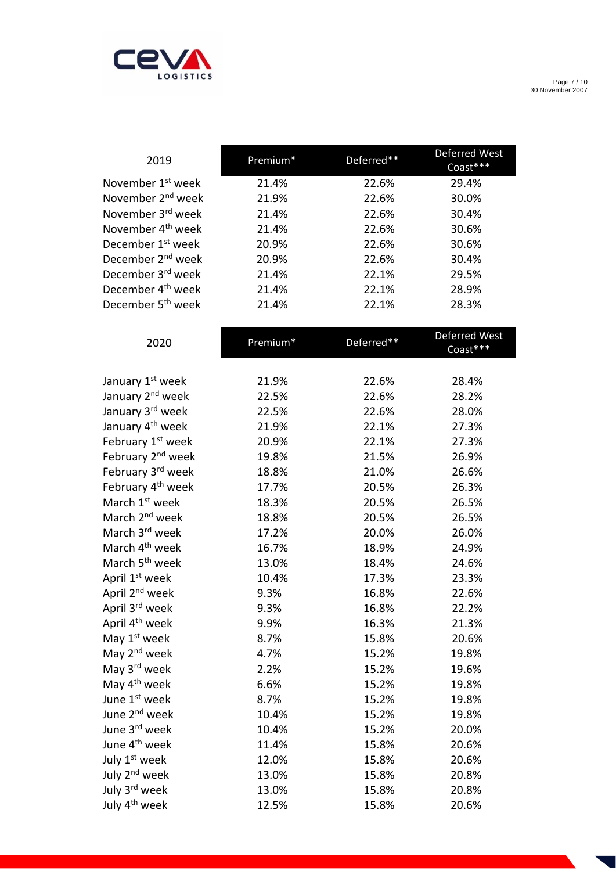

Page 7 / 10 30 November 2007

| 2019                          | Premium* | Deferred** | Deferred West<br>Coast*** |
|-------------------------------|----------|------------|---------------------------|
| November 1 <sup>st</sup> week | 21.4%    | 22.6%      | 29.4%                     |
| November 2 <sup>nd</sup> week | 21.9%    | 22.6%      | 30.0%                     |
| November 3rd week             | 21.4%    | 22.6%      | 30.4%                     |
| November 4 <sup>th</sup> week | 21.4%    | 22.6%      | 30.6%                     |
| December 1 <sup>st</sup> week | 20.9%    | 22.6%      | 30.6%                     |
| December 2 <sup>nd</sup> week | 20.9%    | 22.6%      | 30.4%                     |
| December 3 <sup>rd</sup> week | 21.4%    | 22.1%      | 29.5%                     |
| December 4 <sup>th</sup> week | 21.4%    | 22.1%      | 28.9%                     |
| December 5 <sup>th</sup> week | 21.4%    | 22.1%      | 28.3%                     |
|                               |          |            | Deferred West             |
| 2020                          | Premium* | Deferred** | Coast***                  |
|                               |          |            |                           |
| January 1st week              | 21.9%    | 22.6%      | 28.4%                     |
| January 2 <sup>nd</sup> week  | 22.5%    | 22.6%      | 28.2%                     |
| January 3rd week              | 22.5%    | 22.6%      | 28.0%                     |
| January 4 <sup>th</sup> week  | 21.9%    | 22.1%      | 27.3%                     |
| February 1st week             | 20.9%    | 22.1%      | 27.3%                     |
| February 2 <sup>nd</sup> week | 19.8%    | 21.5%      | 26.9%                     |
| February 3rd week             | 18.8%    | 21.0%      | 26.6%                     |
| February 4 <sup>th</sup> week | 17.7%    | 20.5%      | 26.3%                     |
| March 1 <sup>st</sup> week    | 18.3%    | 20.5%      | 26.5%                     |
| March 2 <sup>nd</sup> week    | 18.8%    | 20.5%      | 26.5%                     |
| March 3 <sup>rd</sup> week    | 17.2%    | 20.0%      | 26.0%                     |
| March 4 <sup>th</sup> week    | 16.7%    | 18.9%      | 24.9%                     |
| March 5 <sup>th</sup> week    | 13.0%    | 18.4%      | 24.6%                     |
| April 1 <sup>st</sup> week    | 10.4%    | 17.3%      | 23.3%                     |
| April 2 <sup>nd</sup> week    | 9.3%     | 16.8%      | 22.6%                     |
| April 3rd week                | 9.3%     | 16.8%      | 22.2%                     |
| April 4 <sup>th</sup> week    | 9.9%     | 16.3%      | 21.3%                     |
| May 1 <sup>st</sup> week      | 8.7%     | 15.8%      | 20.6%                     |
| May 2 <sup>nd</sup> week      | 4.7%     | 15.2%      | 19.8%                     |
| May 3rd week                  | 2.2%     | 15.2%      | 19.6%                     |
| May 4 <sup>th</sup> week      | 6.6%     | 15.2%      | 19.8%                     |
| June 1st week                 | 8.7%     | 15.2%      | 19.8%                     |
| June 2 <sup>nd</sup> week     | 10.4%    | 15.2%      | 19.8%                     |
| June 3 <sup>rd</sup> week     | 10.4%    | 15.2%      | 20.0%                     |
| June 4 <sup>th</sup> week     | 11.4%    | 15.8%      | 20.6%                     |
| July 1st week                 | 12.0%    | 15.8%      | 20.6%                     |
| July 2 <sup>nd</sup> week     | 13.0%    | 15.8%      | 20.8%                     |
| July 3rd week                 | 13.0%    | 15.8%      | 20.8%                     |
| July 4 <sup>th</sup> week     | 12.5%    | 15.8%      | 20.6%                     |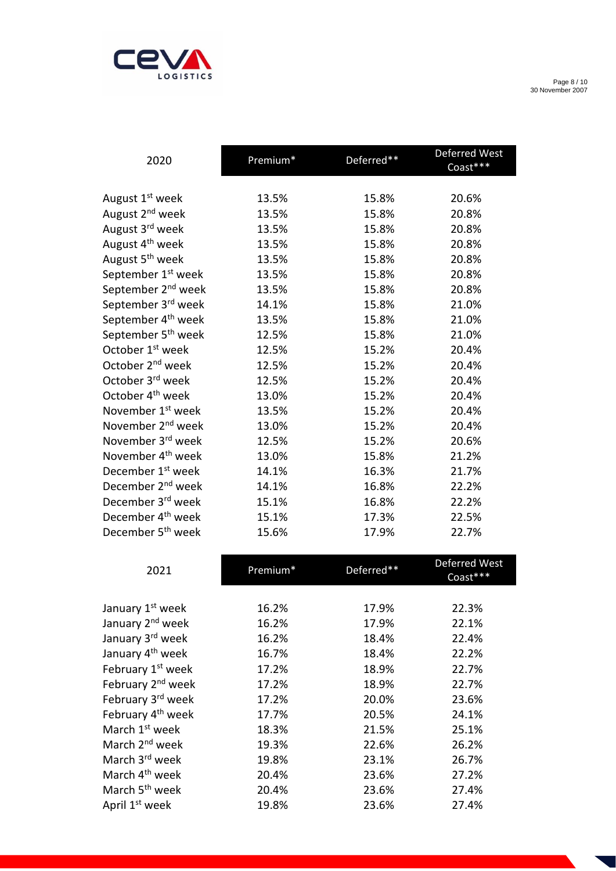

Page 8 / 10 30 November 2007

| 2020                           | Premium* | Deferred** | Deferred West<br>Coast*** |
|--------------------------------|----------|------------|---------------------------|
|                                |          |            |                           |
| August 1 <sup>st</sup> week    | 13.5%    | 15.8%      | 20.6%                     |
| August 2 <sup>nd</sup> week    | 13.5%    | 15.8%      | 20.8%                     |
| August 3 <sup>rd</sup> week    | 13.5%    | 15.8%      | 20.8%                     |
| August 4 <sup>th</sup> week    | 13.5%    | 15.8%      | 20.8%                     |
| August 5 <sup>th</sup> week    | 13.5%    | 15.8%      | 20.8%                     |
| September 1 <sup>st</sup> week | 13.5%    | 15.8%      | 20.8%                     |
| September 2 <sup>nd</sup> week | 13.5%    | 15.8%      | 20.8%                     |
| September 3 <sup>rd</sup> week | 14.1%    | 15.8%      | 21.0%                     |
| September 4 <sup>th</sup> week | 13.5%    | 15.8%      | 21.0%                     |
| September 5 <sup>th</sup> week | 12.5%    | 15.8%      | 21.0%                     |
| October 1 <sup>st</sup> week   | 12.5%    | 15.2%      | 20.4%                     |
| October 2 <sup>nd</sup> week   | 12.5%    | 15.2%      | 20.4%                     |
| October 3 <sup>rd</sup> week   | 12.5%    | 15.2%      | 20.4%                     |
| October 4 <sup>th</sup> week   | 13.0%    | 15.2%      | 20.4%                     |
| November 1 <sup>st</sup> week  | 13.5%    | 15.2%      | 20.4%                     |
| November 2 <sup>nd</sup> week  | 13.0%    | 15.2%      | 20.4%                     |
| November 3 <sup>rd</sup> week  | 12.5%    | 15.2%      | 20.6%                     |
| November 4 <sup>th</sup> week  | 13.0%    | 15.8%      | 21.2%                     |
| December 1 <sup>st</sup> week  | 14.1%    | 16.3%      | 21.7%                     |
| December 2 <sup>nd</sup> week  | 14.1%    | 16.8%      | 22.2%                     |
| December 3rd week              | 15.1%    | 16.8%      | 22.2%                     |
| December 4 <sup>th</sup> week  | 15.1%    | 17.3%      | 22.5%                     |
| December 5 <sup>th</sup> week  | 15.6%    | 17.9%      | 22.7%                     |

| 2021                          | Premium* | Deferred** | <b>Deferred West</b><br>Coast*** |
|-------------------------------|----------|------------|----------------------------------|
|                               |          |            |                                  |
| January 1 <sup>st</sup> week  | 16.2%    | 17.9%      | 22.3%                            |
| January 2 <sup>nd</sup> week  | 16.2%    | 17.9%      | 22.1%                            |
| January 3rd week              | 16.2%    | 18.4%      | 22.4%                            |
| January 4 <sup>th</sup> week  | 16.7%    | 18.4%      | 22.2%                            |
| February 1 <sup>st</sup> week | 17.2%    | 18.9%      | 22.7%                            |
| February 2 <sup>nd</sup> week | 17.2%    | 18.9%      | 22.7%                            |
| February 3 <sup>rd</sup> week | 17.2%    | 20.0%      | 23.6%                            |
| February 4 <sup>th</sup> week | 17.7%    | 20.5%      | 24.1%                            |
| March 1 <sup>st</sup> week    | 18.3%    | 21.5%      | 25.1%                            |
| March 2 <sup>nd</sup> week    | 19.3%    | 22.6%      | 26.2%                            |
| March 3 <sup>rd</sup> week    | 19.8%    | 23.1%      | 26.7%                            |
| March 4 <sup>th</sup> week    | 20.4%    | 23.6%      | 27.2%                            |
| March 5 <sup>th</sup> week    | 20.4%    | 23.6%      | 27.4%                            |
| April 1 <sup>st</sup> week    | 19.8%    | 23.6%      | 27.4%                            |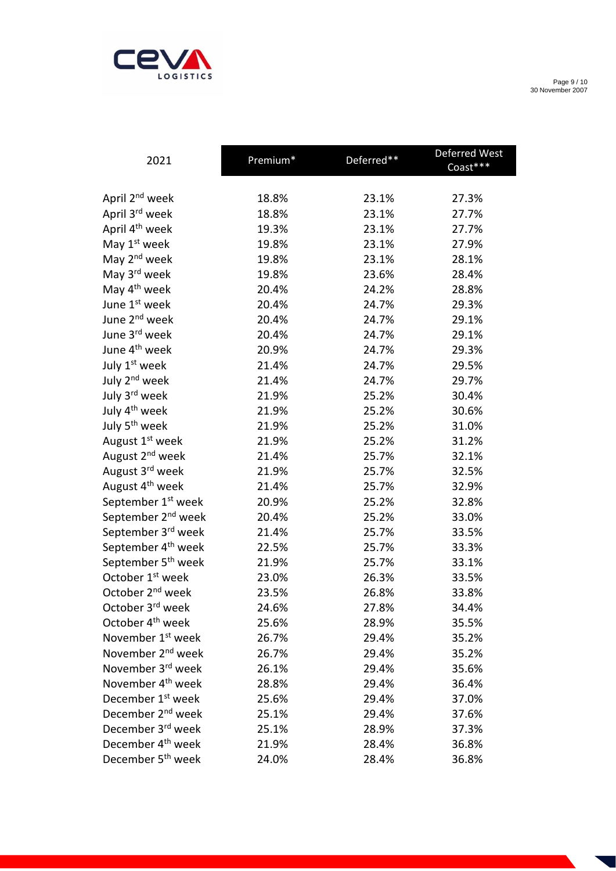

Page 9 / 10 30 November 2007

| 2021                           | Premium* | Deferred** | Deferred West<br>Coast*** |
|--------------------------------|----------|------------|---------------------------|
|                                |          |            |                           |
| April 2 <sup>nd</sup> week     | 18.8%    | 23.1%      | 27.3%                     |
| April 3 <sup>rd</sup> week     | 18.8%    | 23.1%      | 27.7%                     |
| April 4 <sup>th</sup> week     | 19.3%    | 23.1%      | 27.7%                     |
| May 1 <sup>st</sup> week       | 19.8%    | 23.1%      | 27.9%                     |
| May 2 <sup>nd</sup> week       | 19.8%    | 23.1%      | 28.1%                     |
| May 3 <sup>rd</sup> week       | 19.8%    | 23.6%      | 28.4%                     |
| May 4 <sup>th</sup> week       | 20.4%    | 24.2%      | 28.8%                     |
| June 1st week                  | 20.4%    | 24.7%      | 29.3%                     |
| June 2 <sup>nd</sup> week      | 20.4%    | 24.7%      | 29.1%                     |
| June 3rd week                  | 20.4%    | 24.7%      | 29.1%                     |
| June 4 <sup>th</sup> week      | 20.9%    | 24.7%      | 29.3%                     |
| July 1st week                  | 21.4%    | 24.7%      | 29.5%                     |
| July 2 <sup>nd</sup> week      | 21.4%    | 24.7%      | 29.7%                     |
| July 3rd week                  | 21.9%    | 25.2%      | 30.4%                     |
| July 4 <sup>th</sup> week      | 21.9%    | 25.2%      | 30.6%                     |
| July 5 <sup>th</sup> week      | 21.9%    | 25.2%      | 31.0%                     |
| August 1 <sup>st</sup> week    | 21.9%    | 25.2%      | 31.2%                     |
| August 2 <sup>nd</sup> week    | 21.4%    | 25.7%      | 32.1%                     |
| August 3 <sup>rd</sup> week    | 21.9%    | 25.7%      | 32.5%                     |
| August 4 <sup>th</sup> week    | 21.4%    | 25.7%      | 32.9%                     |
| September 1 <sup>st</sup> week | 20.9%    | 25.2%      | 32.8%                     |
| September 2 <sup>nd</sup> week | 20.4%    | 25.2%      | 33.0%                     |
| September 3rd week             | 21.4%    | 25.7%      | 33.5%                     |
| September 4 <sup>th</sup> week | 22.5%    | 25.7%      | 33.3%                     |
| September 5 <sup>th</sup> week | 21.9%    | 25.7%      | 33.1%                     |
| October 1 <sup>st</sup> week   | 23.0%    | 26.3%      | 33.5%                     |
| October 2 <sup>nd</sup> week   | 23.5%    | 26.8%      | 33.8%                     |
| October 3 <sup>rd</sup> week   | 24.6%    | 27.8%      | 34.4%                     |
| October 4 <sup>th</sup> week   | 25.6%    | 28.9%      | 35.5%                     |
| November 1 <sup>st</sup> week  | 26.7%    | 29.4%      | 35.2%                     |
| November 2 <sup>nd</sup> week  | 26.7%    | 29.4%      | 35.2%                     |
| November 3rd week              | 26.1%    | 29.4%      | 35.6%                     |
| November 4 <sup>th</sup> week  | 28.8%    | 29.4%      | 36.4%                     |
| December 1 <sup>st</sup> week  | 25.6%    | 29.4%      | 37.0%                     |
| December 2 <sup>nd</sup> week  | 25.1%    | 29.4%      | 37.6%                     |
| December 3 <sup>rd</sup> week  | 25.1%    | 28.9%      | 37.3%                     |
| December 4 <sup>th</sup> week  | 21.9%    | 28.4%      | 36.8%                     |
| December 5 <sup>th</sup> week  | 24.0%    | 28.4%      | 36.8%                     |